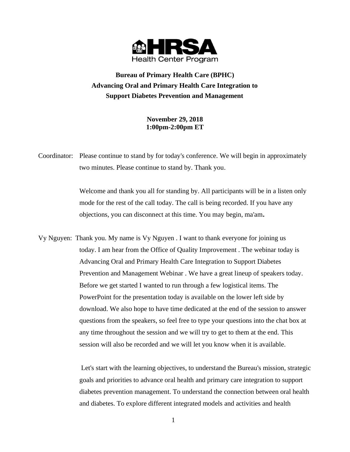

**Bureau of Primary Health Care (BPHC) Advancing Oral and Primary Health Care Integration to Support Diabetes Prevention and Management** 

> **November 29, 2018 1:00pm-2:00pm ET**

Coordinator: Please continue to stand by for today's conference. We will begin in approximately two minutes. Please continue to stand by. Thank you.

> Welcome and thank you all for standing by. All participants will be in a listen only mode for the rest of the call today. The call is being recorded. If you have any objections, you can disconnect at this time. You may begin, ma'am**.**

Vy Nguyen: Thank you. My name is Vy Nguyen . I want to thank everyone for joining us today. I am hear from the Office of Quality Improvement . The webinar today is Advancing Oral and Primary Health Care Integration to Support Diabetes Prevention and Management Webinar . We have a great lineup of speakers today. Before we get started I wanted to run through a few logistical items. The PowerPoint for the presentation today is available on the lower left side by download. We also hope to have time dedicated at the end of the session to answer questions from the speakers, so feel free to type your questions into the chat box at any time throughout the session and we will try to get to them at the end. This session will also be recorded and we will let you know when it is available.

> Let's start with the learning objectives, to understand the Bureau's mission, strategic goals and priorities to advance oral health and primary care integration to support diabetes prevention management. To understand the connection between oral health and diabetes. To explore different integrated models and activities and health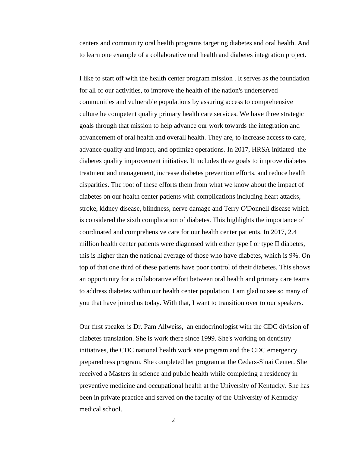centers and community oral health programs targeting diabetes and oral health. And to learn one example of a collaborative oral health and diabetes integration project.

I like to start off with the health center program mission . It serves as the foundation for all of our activities, to improve the health of the nation's underserved communities and vulnerable populations by assuring access to comprehensive culture he competent quality primary health care services. We have three strategic goals through that mission to help advance our work towards the integration and advancement of oral health and overall health. They are, to increase access to care, advance quality and impact, and optimize operations. In 2017, HRSA initiated the diabetes quality improvement initiative. It includes three goals to improve diabetes treatment and management, increase diabetes prevention efforts, and reduce health disparities. The root of these efforts them from what we know about the impact of diabetes on our health center patients with complications including heart attacks, stroke, kidney disease, blindness, nerve damage and Terry O'Donnell disease which is considered the sixth complication of diabetes. This highlights the importance of coordinated and comprehensive care for our health center patients. In 2017, 2.4 million health center patients were diagnosed with either type I or type II diabetes, this is higher than the national average of those who have diabetes, which is 9%. On top of that one third of these patients have poor control of their diabetes. This shows an opportunity for a collaborative effort between oral health and primary care teams to address diabetes within our health center population. I am glad to see so many of you that have joined us today. With that, I want to transition over to our speakers.

Our first speaker is Dr. Pam Allweiss, an endocrinologist with the CDC division of diabetes translation. She is work there since 1999. She's working on dentistry initiatives, the CDC national health work site program and the CDC emergency preparedness program. She completed her program at the Cedars-Sinai Center. She received a Masters in science and public health while completing a residency in preventive medicine and occupational health at the University of Kentucky. She has been in private practice and served on the faculty of the University of Kentucky medical school.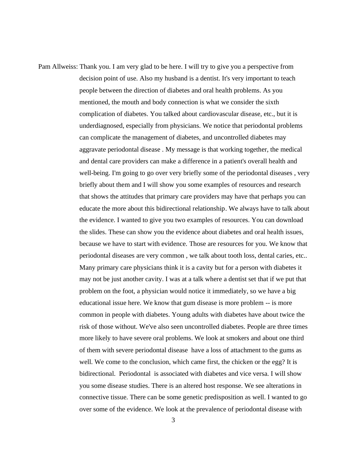Pam Allweiss: Thank you. I am very glad to be here. I will try to give you a perspective from decision point of use. Also my husband is a dentist. It's very important to teach people between the direction of diabetes and oral health problems. As you mentioned, the mouth and body connection is what we consider the sixth complication of diabetes. You talked about cardiovascular disease, etc., but it is underdiagnosed, especially from physicians. We notice that periodontal problems can complicate the management of diabetes, and uncontrolled diabetes may aggravate periodontal disease . My message is that working together, the medical and dental care providers can make a difference in a patient's overall health and well-being. I'm going to go over very briefly some of the periodontal diseases , very briefly about them and I will show you some examples of resources and research that shows the attitudes that primary care providers may have that perhaps you can educate the more about this bidirectional relationship. We always have to talk about the evidence. I wanted to give you two examples of resources. You can download the slides. These can show you the evidence about diabetes and oral health issues, because we have to start with evidence. Those are resources for you. We know that periodontal diseases are very common , we talk about tooth loss, dental caries, etc.. Many primary care physicians think it is a cavity but for a person with diabetes it may not be just another cavity. I was at a talk where a dentist set that if we put that problem on the foot, a physician would notice it immediately, so we have a big educational issue here. We know that gum disease is more problem -- is more common in people with diabetes. Young adults with diabetes have about twice the risk of those without. We've also seen uncontrolled diabetes. People are three times more likely to have severe oral problems. We look at smokers and about one third of them with severe periodontal disease have a loss of attachment to the gums as well. We come to the conclusion, which came first, the chicken or the egg? It is bidirectional. Periodontal is associated with diabetes and vice versa. I will show you some disease studies. There is an altered host response. We see alterations in connective tissue. There can be some genetic predisposition as well. I wanted to go over some of the evidence. We look at the prevalence of periodontal disease with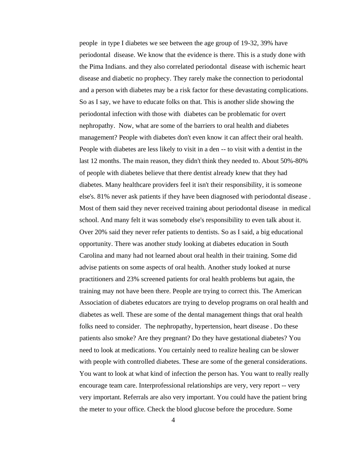people in type I diabetes we see between the age group of 19-32, 39% have periodontal disease. We know that the evidence is there. This is a study done with the Pima Indians. and they also correlated periodontal disease with ischemic heart disease and diabetic no prophecy. They rarely make the connection to periodontal and a person with diabetes may be a risk factor for these devastating complications. So as I say, we have to educate folks on that. This is another slide showing the periodontal infection with those with diabetes can be problematic for overt nephropathy. Now, what are some of the barriers to oral health and diabetes management? People with diabetes don't even know it can affect their oral health. People with diabetes are less likely to visit in a den -- to visit with a dentist in the last 12 months. The main reason, they didn't think they needed to. About 50%-80% of people with diabetes believe that there dentist already knew that they had diabetes. Many healthcare providers feel it isn't their responsibility, it is someone else's. 81% never ask patients if they have been diagnosed with periodontal disease . Most of them said they never received training about periodontal disease in medical school. And many felt it was somebody else's responsibility to even talk about it. Over 20% said they never refer patients to dentists. So as I said, a big educational opportunity. There was another study looking at diabetes education in South Carolina and many had not learned about oral health in their training. Some did advise patients on some aspects of oral health. Another study looked at nurse practitioners and 23% screened patients for oral health problems but again, the training may not have been there. People are trying to correct this. The American Association of diabetes educators are trying to develop programs on oral health and diabetes as well. These are some of the dental management things that oral health folks need to consider. The nephropathy, hypertension, heart disease . Do these patients also smoke? Are they pregnant? Do they have gestational diabetes? You need to look at medications. You certainly need to realize healing can be slower with people with controlled diabetes. These are some of the general considerations. You want to look at what kind of infection the person has. You want to really really encourage team care. Interprofessional relationships are very, very report -- very very important. Referrals are also very important. You could have the patient bring the meter to your office. Check the blood glucose before the procedure. Some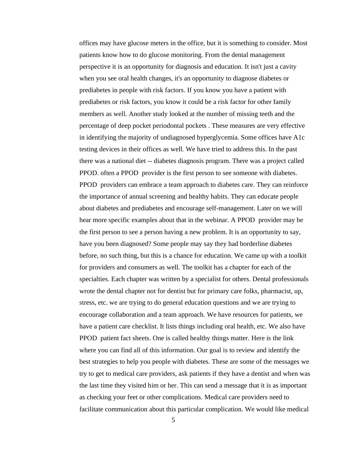offices may have glucose meters in the office, but it is something to consider. Most patients know how to do glucose monitoring. From the dental management perspective it is an opportunity for diagnosis and education. It isn't just a cavity when you see oral health changes, it's an opportunity to diagnose diabetes or prediabetes in people with risk factors. If you know you have a patient with prediabetes or risk factors, you know it could be a risk factor for other family members as well. Another study looked at the number of missing teeth and the percentage of deep pocket periodontal pockets . These measures are very effective in identifying the majority of undiagnosed hyperglycemia. Some offices have A1c testing devices in their offices as well. We have tried to address this. In the past there was a national diet -- diabetes diagnosis program. There was a project called PPOD. often a PPOD provider is the first person to see someone with diabetes. PPOD providers can embrace a team approach to diabetes care. They can reinforce the importance of annual screening and healthy habits. They can educate people about diabetes and prediabetes and encourage self-management. Later on we will hear more specific examples about that in the webinar. A PPOD provider may be the first person to see a person having a new problem. It is an opportunity to say, have you been diagnosed? Some people may say they had borderline diabetes before, no such thing, but this is a chance for education. We came up with a toolkit for providers and consumers as well. The toolkit has a chapter for each of the specialties. Each chapter was written by a specialist for others. Dental professionals wrote the dental chapter not for dentist but for primary care folks, pharmacist, up, stress, etc. we are trying to do general education questions and we are trying to encourage collaboration and a team approach. We have resources for patients, we have a patient care checklist. It lists things including oral health, etc. We also have PPOD patient fact sheets. One is called healthy things matter. Here is the link where you can find all of this information. Our goal is to review and identify the best strategies to help you people with diabetes. These are some of the messages we try to get to medical care providers, ask patients if they have a dentist and when was the last time they visited him or her. This can send a message that it is as important as checking your feet or other complications. Medical care providers need to facilitate communication about this particular complication. We would like medical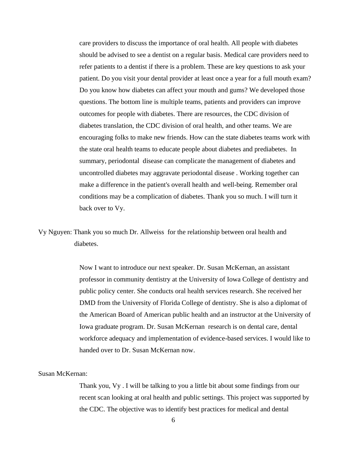care providers to discuss the importance of oral health. All people with diabetes should be advised to see a dentist on a regular basis. Medical care providers need to refer patients to a dentist if there is a problem. These are key questions to ask your patient. Do you visit your dental provider at least once a year for a full mouth exam? Do you know how diabetes can affect your mouth and gums? We developed those questions. The bottom line is multiple teams, patients and providers can improve outcomes for people with diabetes. There are resources, the CDC division of diabetes translation, the CDC division of oral health, and other teams. We are encouraging folks to make new friends. How can the state diabetes teams work with the state oral health teams to educate people about diabetes and prediabetes. In summary, periodontal disease can complicate the management of diabetes and uncontrolled diabetes may aggravate periodontal disease . Working together can make a difference in the patient's overall health and well-being. Remember oral conditions may be a complication of diabetes. Thank you so much. I will turn it back over to Vy.

Vy Nguyen: Thank you so much Dr. Allweiss for the relationship between oral health and diabetes.

> Now I want to introduce our next speaker. Dr. Susan McKernan, an assistant professor in community dentistry at the University of Iowa College of dentistry and public policy center. She conducts oral health services research. She received her DMD from the University of Florida College of dentistry. She is also a diplomat of the American Board of American public health and an instructor at the University of Iowa graduate program. Dr. Susan McKernan research is on dental care, dental workforce adequacy and implementation of evidence-based services. I would like to handed over to Dr. Susan McKernan now.

## Susan McKernan:

Thank you, Vy . I will be talking to you a little bit about some findings from our recent scan looking at oral health and public settings. This project was supported by the CDC. The objective was to identify best practices for medical and dental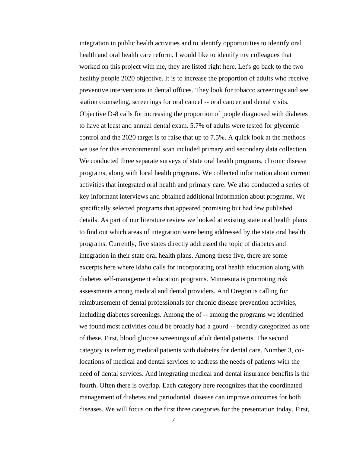integration in public health activities and to identify opportunities to identify oral health and oral health care reform. I would like to identify my colleagues that worked on this project with me, they are listed right here. Let's go back to the two healthy people 2020 objective. It is to increase the proportion of adults who receive preventive interventions in dental offices. They look for tobacco screenings and see station counseling, screenings for oral cancel -- oral cancer and dental visits. Objective D-8 calls for increasing the proportion of people diagnosed with diabetes to have at least and annual dental exam. 5.7% of adults were tested for glycemic control and the 2020 target is to raise that up to 7.5%. A quick look at the methods we use for this environmental scan included primary and secondary data collection. We conducted three separate surveys of state oral health programs, chronic disease programs, along with local health programs. We collected information about current activities that integrated oral health and primary care. We also conducted a series of key informant interviews and obtained additional information about programs. We specifically selected programs that appeared promising but had few published details. As part of our literature review we looked at existing state oral health plans to find out which areas of integration were being addressed by the state oral health programs. Currently, five states directly addressed the topic of diabetes and integration in their state oral health plans. Among these five, there are some excerpts here where Idaho calls for incorporating oral health education along with diabetes self-management education programs. Minnesota is promoting risk assessments among medical and dental providers. And Oregon is calling for reimbursement of dental professionals for chronic disease prevention activities, including diabetes screenings. Among the of -- among the programs we identified we found most activities could be broadly had a gourd -- broadly categorized as one of these. First, blood glucose screenings of adult dental patients. The second category is referring medical patients with diabetes for dental care. Number 3, colocations of medical and dental services to address the needs of patients with the need of dental services. And integrating medical and dental insurance benefits is the fourth. Often there is overlap. Each category here recognizes that the coordinated management of diabetes and periodontal disease can improve outcomes for both diseases. We will focus on the first three categories for the presentation today. First,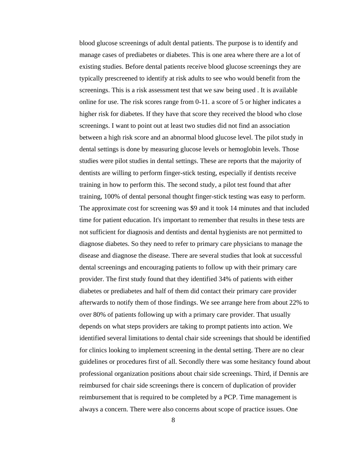blood glucose screenings of adult dental patients. The purpose is to identify and manage cases of prediabetes or diabetes. This is one area where there are a lot of existing studies. Before dental patients receive blood glucose screenings they are typically prescreened to identify at risk adults to see who would benefit from the screenings. This is a risk assessment test that we saw being used . It is available online for use. The risk scores range from 0-11. a score of 5 or higher indicates a higher risk for diabetes. If they have that score they received the blood who close screenings. I want to point out at least two studies did not find an association between a high risk score and an abnormal blood glucose level. The pilot study in dental settings is done by measuring glucose levels or hemoglobin levels. Those studies were pilot studies in dental settings. These are reports that the majority of dentists are willing to perform finger-stick testing, especially if dentists receive training in how to perform this. The second study, a pilot test found that after training, 100% of dental personal thought finger-stick testing was easy to perform. The approximate cost for screening was \$9 and it took 14 minutes and that included time for patient education. It's important to remember that results in these tests are not sufficient for diagnosis and dentists and dental hygienists are not permitted to diagnose diabetes. So they need to refer to primary care physicians to manage the disease and diagnose the disease. There are several studies that look at successful dental screenings and encouraging patients to follow up with their primary care provider. The first study found that they identified 34% of patients with either diabetes or prediabetes and half of them did contact their primary care provider afterwards to notify them of those findings. We see arrange here from about 22% to over 80% of patients following up with a primary care provider. That usually depends on what steps providers are taking to prompt patients into action. We identified several limitations to dental chair side screenings that should be identified for clinics looking to implement screening in the dental setting. There are no clear guidelines or procedures first of all. Secondly there was some hesitancy found about professional organization positions about chair side screenings. Third, if Dennis are reimbursed for chair side screenings there is concern of duplication of provider reimbursement that is required to be completed by a PCP. Time management is always a concern. There were also concerns about scope of practice issues. One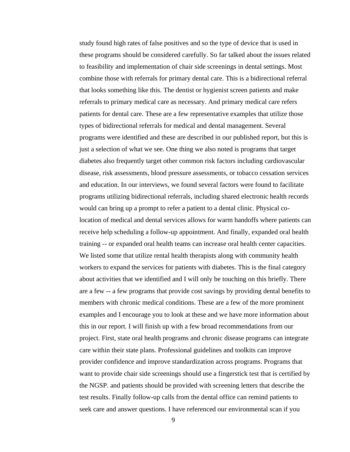study found high rates of false positives and so the type of device that is used in these programs should be considered carefully. So far talked about the issues related to feasibility and implementation of chair side screenings in dental settings. Most combine those with referrals for primary dental care. This is a bidirectional referral that looks something like this. The dentist or hygienist screen patients and make referrals to primary medical care as necessary. And primary medical care refers patients for dental care. These are a few representative examples that utilize those types of bidirectional referrals for medical and dental management. Several programs were identified and these are described in our published report, but this is just a selection of what we see. One thing we also noted is programs that target diabetes also frequently target other common risk factors including cardiovascular disease, risk assessments, blood pressure assessments, or tobacco cessation services and education. In our interviews, we found several factors were found to facilitate programs utilizing bidirectional referrals, including shared electronic health records would can bring up a prompt to refer a patient to a dental clinic. Physical colocation of medical and dental services allows for warm handoffs where patients can receive help scheduling a follow-up appointment. And finally, expanded oral health training -- or expanded oral health teams can increase oral health center capacities. We listed some that utilize rental health therapists along with community health workers to expand the services for patients with diabetes. This is the final category about activities that we identified and I will only be touching on this briefly. There are a few -- a few programs that provide cost savings by providing dental benefits to members with chronic medical conditions. These are a few of the more prominent examples and I encourage you to look at these and we have more information about this in our report. I will finish up with a few broad recommendations from our project. First, state oral health programs and chronic disease programs can integrate care within their state plans. Professional guidelines and toolkits can improve provider confidence and improve standardization across programs. Programs that want to provide chair side screenings should use a fingerstick test that is certified by the NGSP. and patients should be provided with screening letters that describe the test results. Finally follow-up calls from the dental office can remind patients to seek care and answer questions. I have referenced our environmental scan if you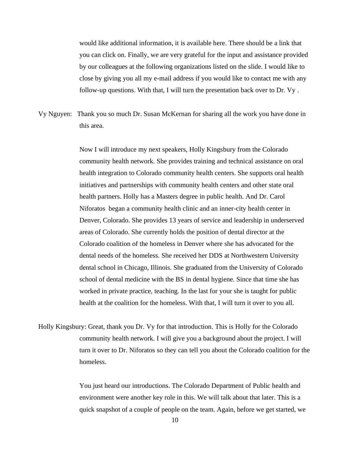would like additional information, it is available here. There should be a link that you can click on. Finally, we are very grateful for the input and assistance provided by our colleagues at the following organizations listed on the slide. I would like to close by giving you all my e-mail address if you would like to contact me with any follow-up questions. With that, I will turn the presentation back over to Dr. Vy .

Vy Nguyen: Thank you so much Dr. Susan McKernan for sharing all the work you have done in this area.

> Now I will introduce my next speakers, Holly Kingsbury from the Colorado community health network. She provides training and technical assistance on oral health integration to Colorado community health centers. She supports oral health initiatives and partnerships with community health centers and other state oral health partners. Holly has a Masters degree in public health. And Dr. Carol Niforatos began a community health clinic and an inner-city health center in Denver, Colorado. She provides 13 years of service and leadership in underserved areas of Colorado. She currently holds the position of dental director at the Colorado coalition of the homeless in Denver where she has advocated for the dental needs of the homeless. She received her DDS at Northwestern University dental school in Chicago, Illinois. She graduated from the University of Colorado school of dental medicine with the BS in dental hygiene. Since that time she has worked in private practice, teaching. In the last for your she is taught for public health at the coalition for the homeless. With that, I will turn it over to you all.

Holly Kingsbury: Great, thank you Dr. Vy for that introduction. This is Holly for the Colorado community health network. I will give you a background about the project. I will turn it over to Dr. Niforatos so they can tell you about the Colorado coalition for the homeless.

> You just heard our introductions. The Colorado Department of Public health and environment were another key role in this. We will talk about that later. This is a quick snapshot of a couple of people on the team. Again, before we get started, we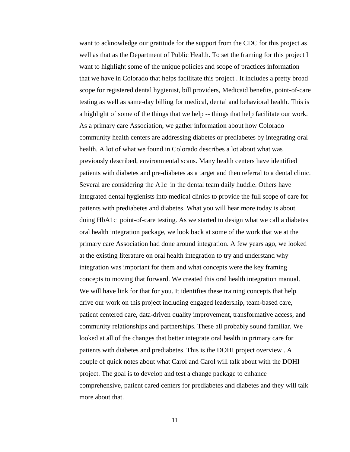want to acknowledge our gratitude for the support from the CDC for this project as well as that as the Department of Public Health. To set the framing for this project I want to highlight some of the unique policies and scope of practices information that we have in Colorado that helps facilitate this project . It includes a pretty broad scope for registered dental hygienist, bill providers, Medicaid benefits, point-of-care testing as well as same-day billing for medical, dental and behavioral health. This is a highlight of some of the things that we help -- things that help facilitate our work. As a primary care Association, we gather information about how Colorado community health centers are addressing diabetes or prediabetes by integrating oral health. A lot of what we found in Colorado describes a lot about what was previously described, environmental scans. Many health centers have identified patients with diabetes and pre-diabetes as a target and then referral to a dental clinic. Several are considering the A1c in the dental team daily huddle. Others have integrated dental hygienists into medical clinics to provide the full scope of care for patients with prediabetes and diabetes. What you will hear more today is about doing HbA1c point-of-care testing. As we started to design what we call a diabetes oral health integration package, we look back at some of the work that we at the primary care Association had done around integration. A few years ago, we looked at the existing literature on oral health integration to try and understand why integration was important for them and what concepts were the key framing concepts to moving that forward. We created this oral health integration manual. We will have link for that for you. It identifies these training concepts that help drive our work on this project including engaged leadership, team-based care, patient centered care, data-driven quality improvement, transformative access, and community relationships and partnerships. These all probably sound familiar. We looked at all of the changes that better integrate oral health in primary care for patients with diabetes and prediabetes. This is the DOHI project overview . A couple of quick notes about what Carol and Carol will talk about with the DOHI project. The goal is to develop and test a change package to enhance comprehensive, patient cared centers for prediabetes and diabetes and they will talk more about that.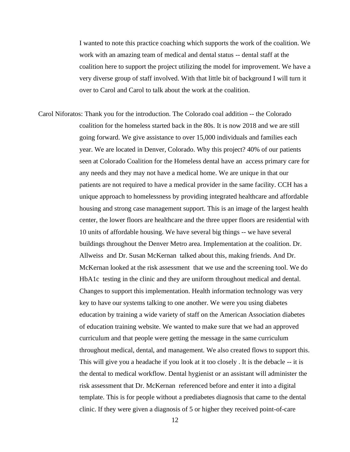I wanted to note this practice coaching which supports the work of the coalition. We work with an amazing team of medical and dental status -- dental staff at the coalition here to support the project utilizing the model for improvement. We have a very diverse group of staff involved. With that little bit of background I will turn it over to Carol and Carol to talk about the work at the coalition.

Carol Niforatos: Thank you for the introduction. The Colorado coal addition -- the Colorado coalition for the homeless started back in the 80s. It is now 2018 and we are still going forward. We give assistance to over 15,000 individuals and families each year. We are located in Denver, Colorado. Why this project? 40% of our patients seen at Colorado Coalition for the Homeless dental have an access primary care for any needs and they may not have a medical home. We are unique in that our patients are not required to have a medical provider in the same facility. CCH has a unique approach to homelessness by providing integrated healthcare and affordable housing and strong case management support. This is an image of the largest health center, the lower floors are healthcare and the three upper floors are residential with 10 units of affordable housing. We have several big things -- we have several buildings throughout the Denver Metro area. Implementation at the coalition. Dr. Allweiss and Dr. Susan McKernan talked about this, making friends. And Dr. McKernan looked at the risk assessment that we use and the screening tool. We do HbA1c testing in the clinic and they are uniform throughout medical and dental. Changes to support this implementation. Health information technology was very key to have our systems talking to one another. We were you using diabetes education by training a wide variety of staff on the American Association diabetes of education training website. We wanted to make sure that we had an approved curriculum and that people were getting the message in the same curriculum throughout medical, dental, and management. We also created flows to support this. This will give you a headache if you look at it too closely . It is the debacle -- it is the dental to medical workflow. Dental hygienist or an assistant will administer the risk assessment that Dr. McKernan referenced before and enter it into a digital template. This is for people without a prediabetes diagnosis that came to the dental clinic. If they were given a diagnosis of 5 or higher they received point-of-care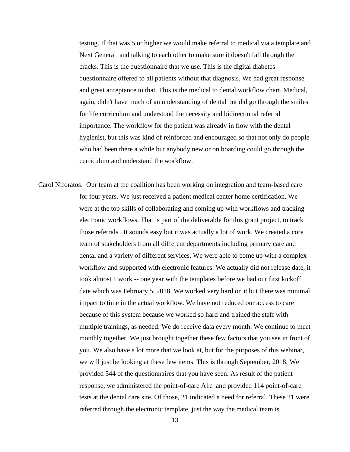testing. If that was 5 or higher we would make referral to medical via a template and Next General and talking to each other to make sure it doesn't fall through the cracks. This is the questionnaire that we use. This is the digital diabetes questionnaire offered to all patients without that diagnosis. We had great response and great acceptance to that. This is the medical to dental workflow chart. Medical, again, didn't have much of an understanding of dental but did go through the smiles for life curriculum and understood the necessity and bidirectional referral importance. The workflow for the patient was already in flow with the dental hygienist, but this was kind of reinforced and encouraged so that not only do people who had been there a while but anybody new or on boarding could go through the curriculum and understand the workflow.

Carol Niforatos: Our team at the coalition has been working on integration and team-based care for four years. We just received a patient medical center home certification. We were at the top skills of collaborating and coming up with workflows and tracking electronic workflows. That is part of the deliverable for this grant project, to track those referrals . It sounds easy but it was actually a lot of work. We created a core team of stakeholders from all different departments including primary care and dental and a variety of different services. We were able to come up with a complex workflow and supported with electronic features. We actually did not release date, it took almost 1 work -- one year with the templates before we had our first kickoff date which was February 5, 2018. We worked very hard on it but there was minimal impact to time in the actual workflow. We have not reduced our access to care because of this system because we worked so hard and trained the staff with multiple trainings, as needed. We do receive data every month. We continue to meet monthly together. We just brought together these few factors that you see in front of you. We also have a lot more that we look at, but for the purposes of this webinar, we will just be looking at these few items. This is through September, 2018. We provided 544 of the questionnaires that you have seen. As result of the patient response, we administered the point-of-care A1c and provided 114 point-of-care tests at the dental care site. Of those, 21 indicated a need for referral. These 21 were referred through the electronic template, just the way the medical team is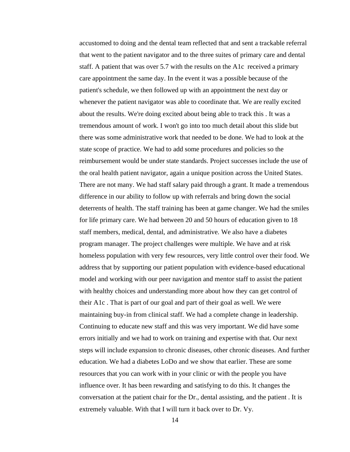accustomed to doing and the dental team reflected that and sent a trackable referral that went to the patient navigator and to the three suites of primary care and dental staff. A patient that was over 5.7 with the results on the A1c received a primary care appointment the same day. In the event it was a possible because of the patient's schedule, we then followed up with an appointment the next day or whenever the patient navigator was able to coordinate that. We are really excited about the results. We're doing excited about being able to track this . It was a tremendous amount of work. I won't go into too much detail about this slide but there was some administrative work that needed to be done. We had to look at the state scope of practice. We had to add some procedures and policies so the reimbursement would be under state standards. Project successes include the use of the oral health patient navigator, again a unique position across the United States. There are not many. We had staff salary paid through a grant. It made a tremendous difference in our ability to follow up with referrals and bring down the social deterrents of health. The staff training has been at game changer. We had the smiles for life primary care. We had between 20 and 50 hours of education given to 18 staff members, medical, dental, and administrative. We also have a diabetes program manager. The project challenges were multiple. We have and at risk homeless population with very few resources, very little control over their food. We address that by supporting our patient population with evidence-based educational model and working with our peer navigation and mentor staff to assist the patient with healthy choices and understanding more about how they can get control of their A1c . That is part of our goal and part of their goal as well. We were maintaining buy-in from clinical staff. We had a complete change in leadership. Continuing to educate new staff and this was very important. We did have some errors initially and we had to work on training and expertise with that. Our next steps will include expansion to chronic diseases, other chronic diseases. And further education. We had a diabetes LoDo and we show that earlier. These are some resources that you can work with in your clinic or with the people you have influence over. It has been rewarding and satisfying to do this. It changes the conversation at the patient chair for the Dr., dental assisting, and the patient . It is extremely valuable. With that I will turn it back over to Dr. Vy.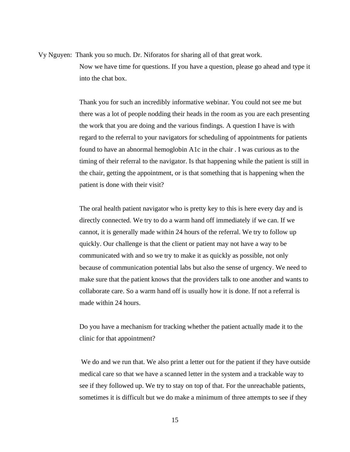Vy Nguyen: Thank you so much. Dr. Niforatos for sharing all of that great work. Now we have time for questions. If you have a question, please go ahead and type it into the chat box.

> Thank you for such an incredibly informative webinar. You could not see me but there was a lot of people nodding their heads in the room as you are each presenting the work that you are doing and the various findings. A question I have is with regard to the referral to your navigators for scheduling of appointments for patients found to have an abnormal hemoglobin A1c in the chair . I was curious as to the timing of their referral to the navigator. Is that happening while the patient is still in the chair, getting the appointment, or is that something that is happening when the patient is done with their visit?

> The oral health patient navigator who is pretty key to this is here every day and is directly connected. We try to do a warm hand off immediately if we can. If we cannot, it is generally made within 24 hours of the referral. We try to follow up quickly. Our challenge is that the client or patient may not have a way to be communicated with and so we try to make it as quickly as possible, not only because of communication potential labs but also the sense of urgency. We need to make sure that the patient knows that the providers talk to one another and wants to collaborate care. So a warm hand off is usually how it is done. If not a referral is made within 24 hours.

Do you have a mechanism for tracking whether the patient actually made it to the clinic for that appointment?

We do and we run that. We also print a letter out for the patient if they have outside medical care so that we have a scanned letter in the system and a trackable way to see if they followed up. We try to stay on top of that. For the unreachable patients, sometimes it is difficult but we do make a minimum of three attempts to see if they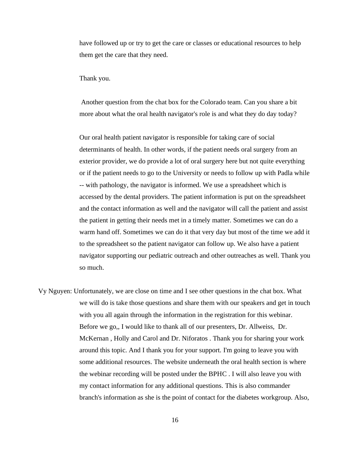have followed up or try to get the care or classes or educational resources to help them get the care that they need.

Thank you.

Another question from the chat box for the Colorado team. Can you share a bit more about what the oral health navigator's role is and what they do day today?

Our oral health patient navigator is responsible for taking care of social determinants of health. In other words, if the patient needs oral surgery from an exterior provider, we do provide a lot of oral surgery here but not quite everything or if the patient needs to go to the University or needs to follow up with Padla while -- with pathology, the navigator is informed. We use a spreadsheet which is accessed by the dental providers. The patient information is put on the spreadsheet and the contact information as well and the navigator will call the patient and assist the patient in getting their needs met in a timely matter. Sometimes we can do a warm hand off. Sometimes we can do it that very day but most of the time we add it to the spreadsheet so the patient navigator can follow up. We also have a patient navigator supporting our pediatric outreach and other outreaches as well. Thank you so much.

Vy Nguyen: Unfortunately, we are close on time and I see other questions in the chat box. What we will do is take those questions and share them with our speakers and get in touch with you all again through the information in the registration for this webinar. Before we go,, I would like to thank all of our presenters, Dr. Allweiss, Dr. McKernan , Holly and Carol and Dr. Niforatos . Thank you for sharing your work around this topic. And I thank you for your support. I'm going to leave you with some additional resources. The website underneath the oral health section is where the webinar recording will be posted under the BPHC . I will also leave you with my contact information for any additional questions. This is also commander branch's information as she is the point of contact for the diabetes workgroup. Also,